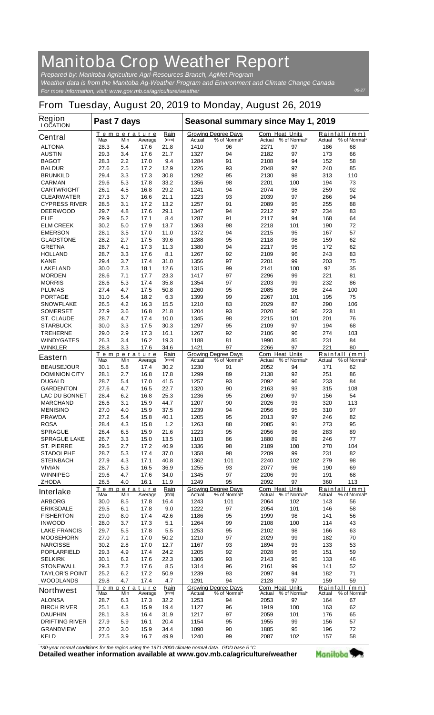## **Manitoba Crop Weather Report**

*For more information, visit: www.gov.mb.ca/agriculture/weather Prepared by: Manitoba Agriculture Agri-Resources Branch, AgMet Program Weather data is from the Manitoba Ag-Weather Program and Environment and Climate Change Canada*

## **From Tuesday, August 20, 2019 to Monday, August 26, 2019**

| Region<br><b>LOCATION</b>                 | Past 7 days                |            |                               |                            | Seasonal summary since May 1, 2019 |                                            |                                  |               |            |                               |
|-------------------------------------------|----------------------------|------------|-------------------------------|----------------------------|------------------------------------|--------------------------------------------|----------------------------------|---------------|------------|-------------------------------|
| <b>Central</b>                            | Max                        | Min        | <u>Temperature</u><br>Average | Rain<br>(mm)               | Actual                             | <b>Growing Degree Days</b><br>% of Normal* | <b>Corn Heat Units</b><br>Actual | % of Normal*  | Actual     | Rainfall (mm)<br>% of Normal* |
| <b>ALTONA</b>                             | 28.3                       | 5.4        | 17.6                          | 21.8                       | 1410                               | 96                                         | 2271                             | 97            | 186        | 68                            |
| <b>AUSTIN</b>                             | 29.3                       | 3.4        | 17.6                          | 21.7                       | 1327                               | 94                                         | 2182                             | 97            | 173        | 66                            |
| <b>BAGOT</b>                              | 28.3                       | 2.2        | 17.0                          | 9.4                        | 1284                               | 91                                         | 2108                             | 94            | 152        | 58                            |
| <b>BALDUR</b>                             | 27.6                       | 2.5        | 17.2                          | 12.9                       | 1226                               | 93                                         | 2048                             | 97            | 240        | 85                            |
| <b>BRUNKILD</b>                           | 29.4                       | 3.3        | 17.3                          | 30.8                       | 1292                               | 95                                         | 2130                             | 98            | 313        | 110                           |
| <b>CARMAN</b>                             | 29.6                       | 5.3        | 17.8                          | 33.2                       | 1356                               | 98                                         | 2201                             | 100           | 194        | 73                            |
| <b>CARTWRIGHT</b>                         | 26.1                       | 4.5        | 16.8                          | 29.2                       | 1241                               | 94                                         | 2074                             | 98            | 259        | 92                            |
| <b>CLEARWATER</b><br><b>CYPRESS RIVER</b> | 27.3<br>28.5               | 3.7<br>3.1 | 16.6<br>17.2                  | 21.1<br>13.2               | 1223<br>1257                       | 93<br>91                                   | 2039<br>2089                     | 97<br>95      | 266<br>255 | 94<br>88                      |
| <b>DEERWOOD</b>                           | 29.7                       | 4.8        | 17.6                          | 29.1                       | 1347                               | 94                                         | 2212                             | 97            | 234        | 83                            |
| ELIE                                      | 29.9                       | 5.2        | 17.1                          | 8.4                        | 1287                               | 91                                         | 2117                             | 94            | 168        | 64                            |
| <b>ELM CREEK</b>                          | 30.2                       | 5.0        | 17.9                          | 13.7                       | 1363                               | 98                                         | 2218                             | 101           | 190        | 72                            |
| <b>EMERSON</b>                            | 28.1                       | 3.5        | 17.0                          | 11.0                       | 1372                               | 94                                         | 2215                             | 95            | 167        | 57                            |
| <b>GLADSTONE</b>                          | 28.2                       | 2.7        | 17.5                          | 39.6                       | 1288                               | 95                                         | 2118                             | 98            | 159        | 62                            |
| <b>GRETNA</b>                             | 28.7                       | 4.1        | 17.3                          | 11.3                       | 1380                               | 94                                         | 2217                             | 95            | 172        | 62                            |
| <b>HOLLAND</b>                            | 28.7                       | 3.3        | 17.6                          | 8.1                        | 1267                               | 92                                         | 2109                             | 96            | 243        | 83                            |
| <b>KANE</b>                               | 29.4                       | 3.7        | 17.4                          | 31.0                       | 1356                               | 97                                         | 2201                             | 99            | 203        | 75                            |
| <b>LAKELAND</b><br><b>MORDEN</b>          | 30.0<br>28.6               | 7.3<br>7.1 | 18.1<br>17.7                  | 12.6<br>23.3               | 1315<br>1417                       | 99<br>97                                   | 2141<br>2296                     | 100<br>99     | 92<br>221  | 35<br>81                      |
| <b>MORRIS</b>                             | 28.6                       | 5.3        | 17.4                          | 35.8                       | 1354                               | 97                                         | 2203                             | 99            | 232        | 86                            |
| <b>PLUMAS</b>                             | 27.4                       | 4.7        | 17.5                          | 50.8                       | 1260                               | 95                                         | 2085                             | 98            | 244        | 100                           |
| <b>PORTAGE</b>                            | 31.0                       | 5.4        | 18.2                          | 6.3                        | 1399                               | 99                                         | 2267                             | 101           | 195        | 75                            |
| <b>SNOWFLAKE</b>                          | 26.5                       | 4.2        | 16.3                          | 15.5                       | 1210                               | 83                                         | 2029                             | 87            | 290        | 106                           |
| <b>SOMERSET</b>                           | 27.9                       | 3.6        | 16.8                          | 21.8                       | 1204                               | 93                                         | 2020                             | 96            | 223        | 81                            |
| <b>ST. CLAUDE</b>                         | 28.7                       | 4.7        | 17.4                          | 10.0                       | 1345                               | 98                                         | 2215                             | 101           | 201        | 76                            |
| <b>STARBUCK</b>                           | 30.0                       | 3.3        | 17.5                          | 30.3                       | 1297                               | 95                                         | 2109                             | 97            | 194        | 68                            |
| <b>TREHERNE</b>                           | 29.0                       | 2.9        | 17.3                          | 16.1                       | 1267                               | 92                                         | 2106                             | 96            | 274        | 103                           |
| <b>WINDYGATES</b>                         | 26.3                       | 3.4        | 16.2                          | 19.3                       | 1188                               | 81                                         | 1990                             | 85            | 231        | 84                            |
| <b>WINKLER</b>                            | 28.8                       | 3.3        | 17.6                          | 34.6                       | 1421                               | 97                                         | 2266                             | 97            | 221        | 80                            |
| <b>Eastern</b>                            | Max                        | Min        | Temperature<br>Average        | Rain<br>(mm)               | Actual                             | <b>Growing Degree Days</b><br>% of Normal* | <b>Corn Heat Units</b><br>Actual | % of Normal*  | Actual     | Rainfall (mm)<br>% of Normal* |
| <b>BEAUSEJOUR</b>                         | 30.1                       | 5.8        | 17.4                          | 30.2                       | 1230                               | 91                                         | 2052                             | 94            | 171        | 62                            |
| <b>DOMINION CITY</b>                      | 28.1                       | 2.7        | 16.8                          | 17.8                       | 1299                               | 89                                         | 2138                             | 92            | 251        | 86                            |
| <b>DUGALD</b>                             | 28.7                       | 5.4        | 17.0                          | 41.5                       | 1257                               | 93                                         | 2092                             | 96            | 233        | 84                            |
| <b>GARDENTON</b>                          | 27.6                       | 4.7        | 16.5                          | 22.7                       | 1320                               | 90                                         | 2163                             | 93            | 315        | 108                           |
| <b>LAC DU BONNET</b>                      | 28.4                       | 6.2        | 16.8                          | 25.3                       | 1236                               | 95                                         | 2069                             | 97            | 156        | 54                            |
| <b>MARCHAND</b>                           | 26.6                       | 3.1        | 15.9                          | 44.7                       | 1207                               | 90                                         | 2026                             | 93            | 320        | 113                           |
| <b>MENISINO</b><br><b>PRAWDA</b>          | 27.0<br>27.2               | 4.0<br>5.4 | 15.9<br>15.8                  | 37.5<br>40.1               | 1239<br>1205                       | 94<br>95                                   | 2056<br>2013                     | 95<br>97      | 310<br>246 | 97<br>82                      |
| <b>ROSA</b>                               | 28.4                       | 4.3        | 15.8                          | 1.2                        | 1263                               | 88                                         | 2085                             | 91            | 273        | 95                            |
| <b>SPRAGUE</b>                            | 26.4                       | 6.5        | 15.9                          | 21.6                       | 1223                               | 95                                         | 2056                             | 98            | 283        | 89                            |
| <b>SPRAGUE LAKE</b>                       | 26.7                       | 3.3        | 15.0                          | 13.5                       | 1103                               | 86                                         | 1880                             | 89            | 246        | 77                            |
| <b>ST. PIERRE</b>                         | 29.5                       | 2.7        | 17.2                          | 40.9                       | 1336                               | 98                                         | 2189                             | 100           | 270        | 104                           |
| <b>STADOLPHE</b>                          | 28.7                       | 5.3        | 17.4                          | 37.0                       | 1358                               | 98                                         | 2209                             | 99            | 231        | 82                            |
| <b>STEINBACH</b>                          | 27.9                       | 4.3        | 17.1                          | 40.8                       | 1362                               | 101                                        | 2240                             | 102           | 279        | 98                            |
| <b>VIVIAN</b>                             | 28.7                       | 5.3        | 16.5                          | 36.9                       | 1255                               | 93                                         | 2077                             | 96            | 190        | 69                            |
| <b>WINNIPEG</b>                           | 29.6                       | 4.7        | 17.6                          | 34.0                       | 1345                               | 97                                         | 2206                             | 99            | 191        | 68                            |
| <b>ZHODA</b>                              | 26.5                       | 4.0        | 16.1                          | 11.9<br>Rain               | 1249                               | 95<br><b>Growing Degree Days</b>           | 2092<br>Corn Heat Units          | 97            | 360        | 113<br>Rainfall (mm)          |
| <b>Interlake</b>                          | Max                        | Min        | <u>Temperature</u><br>Average | (mm)                       | Actual                             | % of Normal*                               | Actual                           | % of Normal*  | Actual     | % of Normal*                  |
| <b>ARBORG</b>                             | 30.0                       | 8.5        | 17.8                          | 16.4                       | 1243                               | 101                                        | 2064                             | 102           | 143        | 56                            |
| <b>ERIKSDALE</b>                          | 29.5                       | 6.1        | 17.8                          | 9.0                        | 1222                               | 97                                         | 2054                             | 101           | 146        | 58                            |
| <b>FISHERTON</b>                          | 29.0                       | 8.0        | 17.4                          | 42.6                       | 1186                               | 95                                         | 1999                             | 98            | 141        | 56                            |
| <b>INWOOD</b>                             | 28.0                       | 3.7        | 17.3                          | 5.1                        | 1264                               | 99                                         | 2108                             | 100           | 114        | 43                            |
| <b>LAKE FRANCIS</b>                       | 29.7                       | 5.5        | 17.8                          | 5.5                        | 1253                               | 95                                         | 2102                             | 98            | 166        | 63                            |
| <b>MOOSEHORN</b>                          | 27.0                       | 7.1        | 17.0                          | 50.2                       | 1210                               | 97                                         | 2029                             | 99            | 182        | 70                            |
| <b>NARCISSE</b><br><b>POPLARFIELD</b>     | 30.2<br>29.3               | 2.8<br>4.9 | 17.0<br>17.4                  | 12.7<br>24.2               | 1167<br>1205                       | 93<br>92                                   | 1894<br>2028                     | 93<br>95      | 133<br>151 | 53<br>59                      |
| <b>SELKIRK</b>                            | 30.1                       | 6.2        | 17.6                          | 22.3                       | 1306                               | 93                                         | 2143                             | 95            | 133        | 46                            |
| <b>STONEWALL</b>                          | 29.3                       | 7.2        | 17.6                          | 8.5                        | 1314                               | 96                                         | 2161                             | 99            | 141        | 52                            |
| <b>TAYLOR'S POINT</b>                     | 25.2                       | 6.2        | 17.2                          | 50.9                       | 1239                               | 93                                         | 2097                             | 94            | 182        | 71                            |
| <b>WOODLANDS</b>                          | 29.8                       | 4.7        | 17.4                          | 4.7                        | 1291                               | 94                                         | 2128                             | 97            | 159        | 59                            |
| <b>Northwest</b>                          | Temperature<br><u>Rain</u> |            |                               | <b>Growing Degree Days</b> |                                    | Corn Heat Units                            |                                  | Rainfall (mm) |            |                               |
|                                           | Max                        | Min        | Average                       | (mm)                       | Actual                             | % of Normal*                               | Actual                           | % of Normal*  | Actual     | % of Normal*                  |
| <b>ALONSA</b>                             | 28.7                       | 6.3        | 17.3                          | 32.2                       | 1253                               | 94                                         | 2053                             | 97            | 164        | 67                            |
| <b>BIRCH RIVER</b><br><b>DAUPHIN</b>      | 25.1<br>28.1               | 4.3<br>3.8 | 15.9<br>16.4                  | 19.4<br>31.9               | 1127<br>1217                       | 96<br>97                                   | 1919<br>2059                     | 100<br>101    | 163<br>176 | 62<br>65                      |
| <b>DRIFTING RIVER</b>                     | 27.9                       | 5.9        | 16.1                          | 20.4                       | 1154                               | 95                                         | 1955                             | 99            | 156        | 57                            |
| <b>GRANDVIEW</b>                          | 27.0                       | 3.0        | 15.9                          | 34.4                       | 1090                               | 90                                         | 1885                             | 95            | 196        | 72                            |
| <b>KELD</b>                               | 27.5                       | 3.9        | 16.7                          | 49.9                       | 1240                               | 99                                         | 2087                             | 102           | 157        | 58                            |

*\*30-year normal conditions for the region using the 1971-2000 climate normal data. GDD base 5 °C*<br>Detailed weather information available at www.gov.mb.ca/agriculture/weather